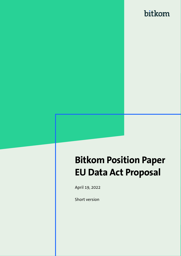# **Bitkom Position Paper EU Data Act Proposal**

April 19, 2022

Short version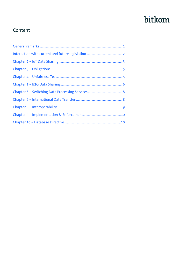#### Content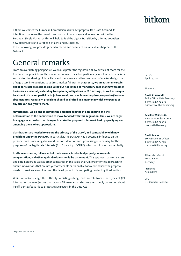1 Regulation (EU) 2016/679

1

Bitkom welcomes the European Commission's Data Act proposal (the Data Act) and its intention to increase the breadth and depth of data usage and innovation within the European Single Market as this will help to fuel the digital transition by offering countless new opportunities to European citizens and businesses.

In the following, we provide general remarks and comment on individual chapters of the Data Act.

### <span id="page-2-0"></span>General remarks

From an overarching perspective, we would prefer the regulation allow sufficient room for the fundamental principles of the market economy to develop, particularly in still *nascent* markets such as for the sharing of data. Here and there, we are rather reminded of market design than of regulatory interventions to address market failures. **In that sense, we are rather uncertain about particular propositions including but not limited to mandatory data sharing with other businesses, essentially extending transparency obligations to B2B settings, as well as unequal treatment of market participants (micro, small, and medium enterprises, corporates) in some circumstances. Generally, provisions should be drafted in a manner in which companies of any size can easily fulfil them.**

**Nevertheless, we do also recognize the potential benefits of data sharing and the determination of the Commission to move forward with this Regulation. Thus, we are eager to engage in a constructive dialogue to make the proposed rules work best by specifying and amending them where appropriate.** 

**Clarifications are needed to ensure the primacy of the GDPR<sup>1</sup> , and compatibility with new provisions under the Data Act.** In particular, the Data Act has a potential influence on the personal data processing chain and the consideration such processing is necessary for the purposes of the legitimate interests (Art. 6 para 1 pt. f GDPR), which would merit more clarity.

**In all circumstances, full respect of trade secrets, intellectual property, reasonable compensation, and other applicable laws should be paramount.** This approach concerns users and data holders as well as other companies in the value chain. In order for this approach to enable innovations that are not yet foreseeable or plannable today, we believe the proposal needs to provide clearer limits on the development of a competing product by third parties.

While we acknowledge the difficulty in distinguishing trade secrets from other types of (IP) information on an objective basis across EU members states, we are strongly concerned about insufficient safeguards to protect trade secrets in the Data Act

#### bitkom

Berlin, April 19, 2022

Bitkom e.V.

**David Schönwerth** Policy Officer Data Economy T +49 30 27576-179 d.schoenwerth@bitkom.org

**Rebekka Weiß, LL.M.** Head of Trust & Security T +49 30 27576-161 r.weiss@bitkom.org

**David Adams** EU Public Policy Officer T +49 30 27576-585 d.adams@bitkom.org

Albrechtstraße 10 10117 Berlin Germany

President Achim Berg

CEO Dr. Bernhard Rohleder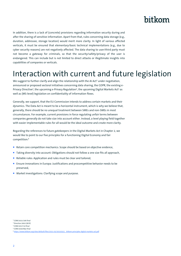In addition, there is a lack of (concrete) provisions regarding information security during and after the sharing of sensitive information. Apart from that, rules concerning data storage (e.g., duration, addressee, storage location) would merit more clarity. In light of various affected verticals, it must be ensured that elementary/basic technical implementations (e.g., due to cyber security reasons) are not negatively affected. The data sharing to user/third party must not become a gateway for criminals, so that the security/safety/privacy of the user is endangered. This can include but is not limited to direct attacks or illegitimate insights into capabilities of companies or verticals.

#### <span id="page-3-0"></span>Interaction with current and future legislation

We suggest to further clarify and align the relationship with the AI Act<sup>2</sup> under negotiation, announced or proposed sectoral initiatives concerning data sharing, the GDPR, the existing e-Privacy Directive<sup>3</sup>, the upcoming e-Privacy Regulation<sup>4</sup>, the upcoming Digital Markets Act<sup>5</sup> as well as (MS-level) legislation on confidentiality of information flows.

Generally, we support, that the EU Commission intends to address certain markets and their dynamics. The Data Act is meant to be a horizontal instrument, which is why we believe that, generally, there should be no unequal treatment between SMEs and non-SMEs in most circumstances. For example, current provisions in force regulating unfair terms between companies generally do not take size into account either. Instead, a level playing field together with easier implementable rules for all would be the ideal outcome and create more clarity.

Regarding the references to future gatekeepers in the Digital Markets Act in Chapter 2, we would like to point to our five principles for a functioning Digital Economy and fair competition:<sup>6</sup>

- Retain core competition mechanics: Scope should be based on objective evidence,
- **Taking diversity into account: Obligations should not follow a one size fits all approach,**
- Reliable rules: Application and rules must be clear and tailored,
- **Ensure innovations in Europa: Justifications and procompetitive behavior needs to be** preserved,
- **Market investigations: Clarifying scope and purpose.**

<sup>2</sup> COM/2021/206 final

<sup>3</sup> Directive 2002/58/EC

<sup>4</sup> COM/2017/10 final

 $5$  COM/2020/842 final

<sup>6</sup> [https://www.bitkom.org/sites/default/files/2021-03/20210315\\_-bitkom-principles-digital-markets-act.pdf](https://www.bitkom.org/sites/default/files/2021-03/20210315_-bitkom-principles-digital-markets-act.pdf)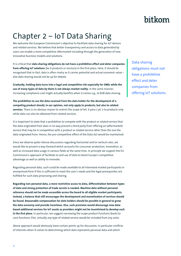## <span id="page-4-0"></span>Chapter 2 – IoT Data Sharing

We welcome the European Commission's objective to facilitate data sharing for IoT devices and related services. We believe that better transparency and access to data generated by users can enable a more competitive aftermarket including through the generation of new innovative business models and solutions.

It is critical that **data sharing obligations do not have a prohibitive effect and deter companies from offering IoT solutions** (be it products or services) in the first place. Here, it should be recognised that in-fact, data is often rivalry as it carries potential and actual economic value – else data sharing would not be up for debate.

**Gradually, holding data turns into a legal and competitive risk especially for SMEs while the use of many types of data by them is not always market reality.** In the same manner, increasing compliance cost might actually backfire when it comes e.g., to B2B data sharing.

**The prohibition to use the data received from the data holder for the development of a competing product should, in our opinion, not only apply to products, but also to related services.** There is no obvious reason to restrict the scope of Art. 6 para 2 pt. e to products only while data can also be obtained from related services.

It is important to state that a prohibition to compete with the product or related service that the data originated from does in no way prevent a third party from offering an (aftermarket) service that may be in competition with a product or related service other than the one the data originated from. Hence, the pro-competitive effect of the Data Act would be maintained.

Since we observe quite intense discussions regarding horizontal and/or vertical rules, we would like to present a way forward which accounts for consumer protection, innovation, as well as increased data usage in various fields at the same time. In principle we support the EU Commission's approach of facilitate to and use of data to boost Europe's competitive advantage as well as ability to innovate.

Regarding personal data, such could be made available to all interested market participants in anonymised form if this is sufficient to meet the user's needs and the legal prerequisites are fulfilled for such data processing and sharing.

**Regarding non-personal data, a more restrictive access to data, differentiation between types of data and strong protection of trade secrets is needed. Machine data without personal reference should not be made accessible across the board to all eligible market participants. Instead, a balance that still encourages the development and monetization of services should be found. Reasonable compensation for data holders should be possible in general to grow the data economy and provide incentives. Else, such provision would discourage new databased additional services for IoT assets as providers might not be incentivized to develop such in the first place.** In particular, we suggest narrowing the scope product functions (back) to core functions. Else, virtually any type of related service would be included from any actor.

Above approach would obviously leave certain points up for discussion, in particular conflicts of interests when it comes to determining which data represents personal data and which

Data sharing obligations must not have a prohibitive effect and deter companies from offering IoT solutions.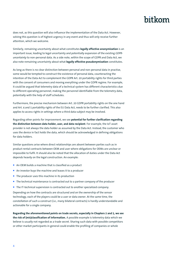### hitkom

does not, as this question will also influence the implementation of the Data Act. However, solving this question is of highest urgency in any event and thus will only receive further attention, which we welcome.

Similarly, remaining uncertainty about what constitutes **legally effective anonymization** is an important issue, leading to legal uncertainty and potentially expansion of the existing *GDPRuncertainty* to non-personal data. As a side note, within the scope of GDPR and Data Act, we also note remaining uncertainty about what **legally effective pseudonymization** constitutes.

As long as there is no clear distinction between personal and non-personal data in practise, some would be tempted to construct the existence of personal data, counteracting the intention of the Data Act to complement the GDPR Art. 20 portability rights for third parties with the consent of consumers and moving everything under the GDPR regime. For example, it could be argued that telemetry data of a technical system has different characteristics due to different operating personnel, making the personnel identifiable from the telemetry data, potentially with the help of staff schedules.

Furthermore, the precise mechanism between Art. 20 GDPR portability rights on the one hand and Art. 4 and 5 portability rights of the EU Data Act, needs to be further clarified. This also applies to access rights in settings where a third data subject may be involved.

Regarding other points for improvement, we see **potential for further clarification regarding the distinction between data holder, user, and data recipient**. For example, the IoT asset provider is not always the data holder as assumed by the Data Act. Instead, the customer who uses the device in fact holds the data, which should be acknowledged in defining obligations for data holders.

Similar questions arise where direct relationships are absent between parties such as in product rental contracts between OEM and user where obligations for OEMs are unclear or impossible to fulfil. It should also be noted that the allocation of duties under the Data Act depends heavily on the legal construction. An example:

- An OEM builds a machine that is classified as a product
- An investor buys the machine and leases it to a producer
- $\blacksquare$  The producer uses this machine in its production
- $\blacksquare$  The technical maintenance is contracted out to a partner company of the producer
- The IT-technical supervision is contracted out to another specialized company.

Depending on how the contracts are structured and on the ownership of the sensor technology, each of the players could be a user or data owner. At the same time, the constellation of such a construct (i.e., many bilateral contracts) is hardly understandable and actionable for a single company.

**Regarding the aforementioned points on trade secrets, especially in Chapters 2 and 5, we see the risk of (mis)classification of information.** A possible example is telemetry data which we believe is usually not regarded as a trade secret. Sharing such data with possible competitors or other market participants in general could enable the profiling of companies or whole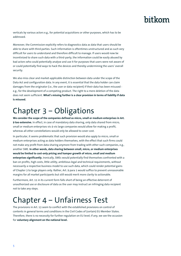verticals by various actors e.g., for potential acquisitions or other purposes, which has to be addressed.

Moreover, the Commission explicitly refers to diagnostics data as data that users should be able to share with third parties. Such information is oftentimes unstructured and as such very difficult for users to understand and therefore difficult to manage. If users would now be incentivized to share such data with a third-party, the information could be easily abused by bad actors who could potentially analyse and use it for purposes that users were not aware of or could potentially find ways to hack the devices and thereby undermining the users' overall security.

We also miss clear and market-applicable distinction between data under the scope of the Data Act and configuration data. In any event, it is essential that the data holder can claim damages from the originator (i.e., the user or data recipient) if their data has been misused e.g., for the development of a competing product. The right to a mere deletion of the data does not seem sufficient. **What's missing further is a clear provision in terms of liability if data is misused.**

### <span id="page-6-0"></span>Chapter 3 – Obligations

**We consider the scope of the companies defined as micro, small or medium enterprises in Art. 9 too extensive.** In effect, in case of mandatory data sharing, only data shared from micro, small or medium enterprises vis-à-vis large companies would allow for making a profit, whereas all other constellations would only be allowed to cover cost.

In particular, it seems problematic that such provision would also apply to micro, small or medium enterprises acting as data holders themselves, with the effect that such firms could not make any profit from data sharing anymore from trading with other such companies, e.g., another SME. **In other words, data sharing between small, micro, or medium enterprises would be limited to cost-only pricing and hamper growth of micro, small and medium enterprises significantly.** Ironically, SMEs would potentially find themselves confronted with a ban on profits, high costs, little utility, ambitious legal and technical requirements, without necessarily a respective business model to use such data, which could render potential gains of Chapter 3 to large players only. Rather, Art. 9 para 1 would suffice to prevent unreasonable margins for all market participants but still would merit more clarity to actionable.

Furthermore, Art. 11 in its current form falls short of being an effective deterrent of unauthorized use or disclosure of data as the user may instruct an infringing data recipient not to take any steps.

#### <span id="page-6-1"></span>Chapter 4 – Unfairness Test

The provisions in Art. 13 seem to conflict with the established provisions on control of contents in general terms and conditions in the Civil Codes of (certain) EU Member States. Therefore, there is no necessity for further regulation on EU level; if any, we see the occasion for **voluntary alignment on the national level.**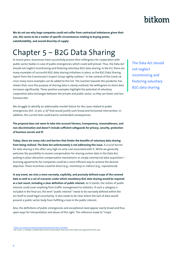**We do not see why large companies could not suffer from contractual imbalances given their size, this seems to be a matter of specific circumstances relating to buying power, substitutability, and overall diversity of supply.** 

## <span id="page-7-0"></span>Chapter 5 – B2G Data Sharing

In recent years, businesses have successfully proven their willingness for cooperation with public sector bodies in case of public emergencies which could well prevail. Thus, the Data Act should not neglect incentivising and fostering voluntary B2G data sharing. In the EU, there are many examples of successful B2G data sharing initiatives in place, as the B2G Data Sharing report from the Commission's Expert Group rightly outlines.<sup>7</sup> In the context of the Covid-19 crisis many more examples can be added to this list. The reaction towards the pandemic has shown that, once the purpose of sharing data is clearly outlined, the willingness to share data increases significantly. These positive examples highlight the potential of voluntary cooperative data exchanges between the private and public sector, as they are faster and less bureaucratic.

We struggle to identify an addressable market failure for the cases related to public emergencies (Art. 15 pts. a, b)<sup>8</sup> that would justify such broad and horizontal intervention. In addition, the current text could lead to unintended consequences.

**The proposal does not seem to take into account fairness, transparency, reasonableness, and non-discrimination and doesn't include sufficient safeguards for privacy, security, protection of business secrets and IP.**

**Today, there are many risks and barriers that hinder the benefits of voluntary data sharing from being realised. The Data Act unfortunately is not addressing this issue.** A crucial barrier for data sharing is the often very high ex-ante cost associated with it. While we generally welcome the possibility to receive compensation for sharing certain data in the Data Act, putting in place attractive compensation mechanisms or simply commercial data acquisition / licensing agreements for companies could be a more efficient way to achieve the desired objective. These incentives could be direct (e.g., monetary) or indirect (e.g., reputational).

**In any event, we miss a more narrowly, explicitly, and precisely defined scope of the covered data as well as a set of scenarios under which mandatory B2G data sharing would be required as a last resort, including a clear definition of public interest.** As it stands, the notion of public interest could cover anything from traffic management to statistics. If such a category is included in the final act, the term "public interest" needs to be narrowly defined within the act itself to avoid legal uncertainty. It also needs to be clear where the lack of data would prevent a public sector body from fulfilling a task in the public interest.

Also, the definitions of public emergencies and exceptional need appear overly broad and thus open ways for interpretation and abuse of this right. The reference made to "major

The Data Act should not neglect incentivizing and fostering voluntary B2G data sharing.

<sup>7</sup> [https://ec.europa.eu/newsroom/dae/document.cfm?doc\\_id=64954](https://ec.europa.eu/newsroom/dae/document.cfm?doc_id=64954)

<sup>&</sup>lt;sup>8</sup> Art. 15 pt. c 1 includes a market failure test to some extent, thus we do not make such argument for this case.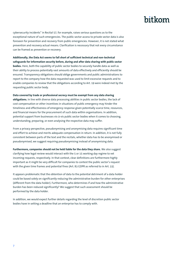### hitkom

cybersecurity incidents" in Recital 57, for example, raises serious questions as to the exceptional nature of such emergencies. The public sector access to private sector data is also foreseen for prevention and recovery from public emergencies. However, it is not stated what prevention and recovery actual means. Clarification is necessary that not every circumstance can be framed as prevention or recovery.

**Additionally, the Data Act seems to fall short of sufficient technical and non-technical safeguards for information security before, during and after data sharing with public sector bodies.** Here, both the capability of public sector bodies to securely handle data as well as their ability to process potentially vast amounts of data effectively and efficiently should be ensured. Transparency obligations should oblige governments and public administrations to report to the company how the data requested was used to limit excessive requests and to enable companies to review that the obligations according to Art. 19 were indeed met by the requesting public sector body.

**Data covered by trade or professional secrecy must be exempt from any data sharing** 

**obligations.** In line with diverse data processing abilities in public sector bodies, the lack of cost compensation or other incentives in situations of public emergency may hinder the timeliness and effectiveness of emergency response given potentially scarce time, resources, and financial means for the procurement of such data within organisations. In addition, potential support from businesses vis-à-vis public sector bodies when it comes to choosing, understanding, preparing, or even analysing the respective data may suffer.

From a privacy perspective, pseudonymising and anonymising data requires significant time and effort to achieve and merits adequate compensation in return. In addition, it is not fully consistent between parts of the text and the recitals, whether data has to be anonymised or pseudonymised, we suggest requiring pseudonymising instead of anonymising data.

**Furthermore, companies should not be held liable for the data they share.** We also suggest clarifying how legal review would interact with the 5 or 15 working day regime to vet incoming requests, respectively. In that context, clear definitions are furthermore highly important as it might be very difficult for companies to contest the public sector's request with the given time frames and potential fines (Art. 83 GDPR as referred to in Art. 33).

It appears problematic that the obtention of data to the potential detriment of a data holder could be based solely on significantly reducing the administrative burden for other enterprises (different from the data holder). Furthermore, who determines if and how the administrative burden has been reduced significantly? We suggest that such assessment should be performed by the data holder.

In addition, we would expect further details regarding the level of discretion public sector bodies have in setting a deadline that an enterprise has to comply with.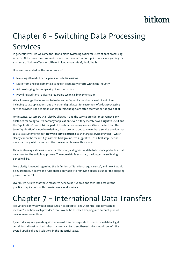## <span id="page-9-0"></span>Chapter 6 – Switching Data Processing Services

In general terms, we welcome the idea to make switching easier for users of data processing services. At the same time, we understand that there are various points of view regarding the existence of lock-in effects on different cloud models (IaaS, PaaS, SaaS).

However, we underline the importance of

- **Involving all market participants in such discussions**
- **E** Learn from and supplement existing self-regulatory efforts within the industry
- Acknowledging the complexity of such activities
- **Providing additional guidance regarding technical implementation**

We acknowledge the intention to foster and safeguard a maximum level of switching including data, applications, and any other digital asset for customers of a data processing service provider. The definitions of key terms, though, are often too wide or not given at all.

For instance, customers shall also be allowed – and the service provider must remove any obstacles for doing so – to port any "application" even if they merely have a right to use it and the "application" is an intrinsic part of the data processing service. Given the fact that the term "application" is nowhere defined, it can be construed to mean that a service provider has to assist a customer to port **its whole service offering** to the target service provider – which clearly cannot be meant. Against that background, we suggest to – as a first step - define more narrowly which exact architecture elements are within scope.

There is also a question as to whether the many categories of data to be made portable are all necessary for the switching process. The more data is exported, the longer the switching period will be.

More clarity is needed regarding the definition of "functional equivalence", and how it would be guaranteed. It seems the rules should only apply to removing obstacles under the outgoing provider's control.

Overall, we believe that these measures need to be nuanced and take into account the practical implications of the provision of cloud services.

#### <span id="page-9-1"></span>Chapter 7 – International Data Transfers

It is yet unclear what would constitute an acceptable "legal, technical and contractual measure" and how each providers' tools would be assessed, keeping into account product developments over time.

By introducing safeguards against non-lawful access requests to non-personal data, legal certainty and trust in cloud infrastructures can be strengthened, which would benefit the overall uptake of cloud solutions in the industrial space.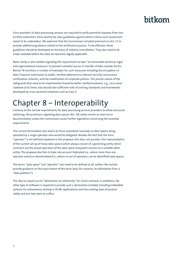Since providers of data processing services are required to verify potential requests from non-EU/EEA authorities, there need to be clear guidelines against which criteria such assessment needs to be undertaken. We welcome that the Commission included provisions in Art. 27 to provide additional guidance related to the verification process. To be effective, these guidelines should be developed on the basis of industry consultation. They also need to be made available before the Data Act becomes legally applicable.

More clarity is also needed regarding the requirement to take "all reasonable technical, legal and organizational measures" to prevent unlawful access or transfer of data outside the EU. Recital 78 mentions a number of examples for such measures including the encryption of data, frequent submission to audits, verified adherence to relevant security reassurance certification schemes, and the modification of corporate policies. The precise nature of the safeguards that need to be implemented should be better clarified however, e.g., via a cloud rulebook at EU level, and should take sufficient note of existing standards and frameworks developed by cross-sectorial initiatives such as Gaia-X.

### <span id="page-10-0"></span>Chapter 8 – Interoperability

Contrary to the narrow requirements for data processing services providers to allow and assist switching, the provisions regarding data spaces (Art. 28) solely remain an exercise in documentation unless the Commission issues further legislation concerning the essential requirements.

The current formulation also seems to focus somewhat narrowly on data spaces being operated by a single operator who would be obligated. Besides the fact that the term "operator" is not defined anywhere in the proposal, this does not provide a fair representation of the current set up of many data spaces which always consist of a governing entity which contracts out the actual operation of the data space ecosystem services to a suitable other entity. The proposal also fails to take into account federated (i.e., where more than one operator exists) or decentralized (i.e., where no set of operators can be identified) data spaces.

The terms "data space" and "operator" also need to be defined at all; neither the recitals provide guidance on the exact extent of this term (and, for instance, its delineation from a "data platform").

The idea to require an EU "declaration of conformity" for smart contracts is ambitious. No other type of software is required to provide such a declaration (notably including embedded systems for autonomous driving or AI/ML applications) and the existing laws of product safety and tort law seem to suffice.